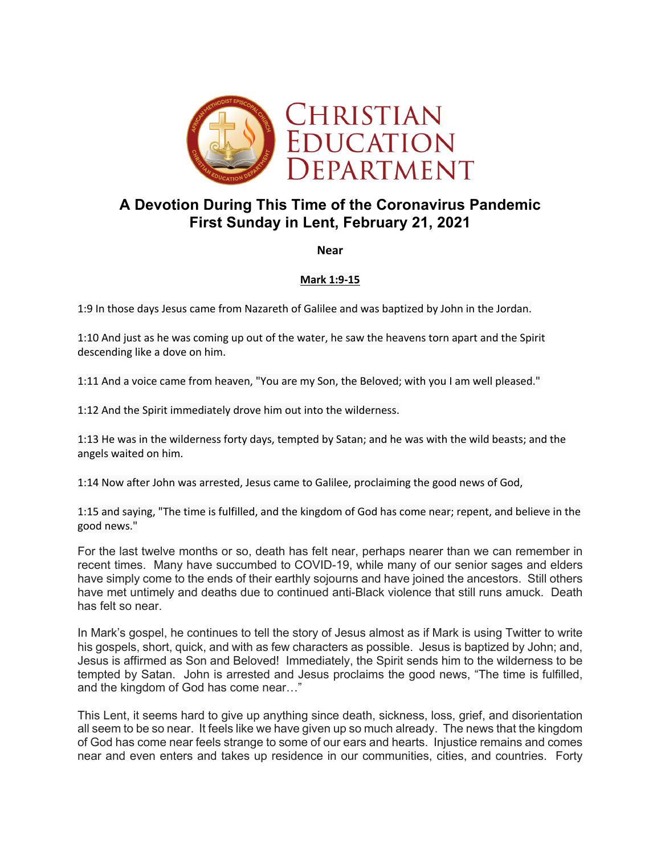

# **A Devotion During This Time of the Coronavirus Pandemic First Sunday in Lent, February 21, 2021**

**Near**

## **Mark 1:9-15**

1:9 In those days Jesus came from Nazareth of Galilee and was baptized by John in the Jordan.

1:10 And just as he was coming up out of the water, he saw the heavens torn apart and the Spirit descending like a dove on him.

1:11 And a voice came from heaven, "You are my Son, the Beloved; with you I am well pleased."

1:12 And the Spirit immediately drove him out into the wilderness.

1:13 He was in the wilderness forty days, tempted by Satan; and he was with the wild beasts; and the angels waited on him.

1:14 Now after John was arrested, Jesus came to Galilee, proclaiming the good news of God,

1:15 and saying, "The time is fulfilled, and the kingdom of God has come near; repent, and believe in the good news."

For the last twelve months or so, death has felt near, perhaps nearer than we can remember in recent times. Many have succumbed to COVID-19, while many of our senior sages and elders have simply come to the ends of their earthly sojourns and have joined the ancestors. Still others have met untimely and deaths due to continued anti-Black violence that still runs amuck. Death has felt so near.

In Mark's gospel, he continues to tell the story of Jesus almost as if Mark is using Twitter to write his gospels, short, quick, and with as few characters as possible. Jesus is baptized by John; and, Jesus is affirmed as Son and Beloved! Immediately, the Spirit sends him to the wilderness to be tempted by Satan. John is arrested and Jesus proclaims the good news, "The time is fulfilled, and the kingdom of God has come near…"

This Lent, it seems hard to give up anything since death, sickness, loss, grief, and disorientation all seem to be so near. It feels like we have given up so much already. The news that the kingdom of God has come near feels strange to some of our ears and hearts. Injustice remains and comes near and even enters and takes up residence in our communities, cities, and countries. Forty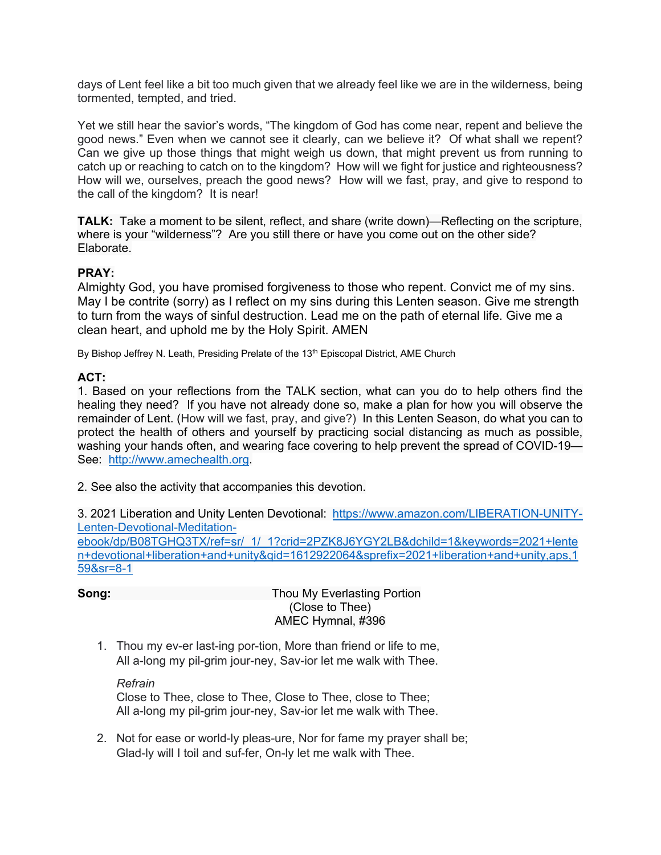days of Lent feel like a bit too much given that we already feel like we are in the wilderness, being tormented, tempted, and tried.

Yet we still hear the savior's words, "The kingdom of God has come near, repent and believe the good news." Even when we cannot see it clearly, can we believe it? Of what shall we repent? Can we give up those things that might weigh us down, that might prevent us from running to catch up or reaching to catch on to the kingdom? How will we fight for justice and righteousness? How will we, ourselves, preach the good news? How will we fast, pray, and give to respond to the call of the kingdom? It is near!

**TALK:** Take a moment to be silent, reflect, and share (write down)—Reflecting on the scripture, where is your "wilderness"? Are you still there or have you come out on the other side? Elaborate.

## **PRAY:**

Almighty God, you have promised forgiveness to those who repent. Convict me of my sins. May I be contrite (sorry) as I reflect on my sins during this Lenten season. Give me strength to turn from the ways of sinful destruction. Lead me on the path of eternal life. Give me a clean heart, and uphold me by the Holy Spirit. AMEN

By Bishop Jeffrey N. Leath, Presiding Prelate of the 13<sup>th</sup> Episcopal District, AME Church

#### **ACT:**

1. Based on your reflections from the TALK section, what can you do to help others find the healing they need? If you have not already done so, make a plan for how you will observe the remainder of Lent. (How will we fast, pray, and give?) In this Lenten Season, do what you can to protect the health of others and yourself by practicing social distancing as much as possible, washing your hands often, and wearing face covering to help prevent the spread of COVID-19— See: http://www.amechealth.org.

2. See also the activity that accompanies this devotion.

3. 2021 Liberation and Unity Lenten Devotional: https://www.amazon.com/LIBERATION-UNITY-Lenten-Devotional-Meditation-

ebook/dp/B08TGHQ3TX/ref=sr/\_1/\_1?crid=2PZK8J6YGY2LB&dchild=1&keywords=2021+lente n+devotional+liberation+and+unity&qid=1612922064&sprefix=2021+liberation+and+unity,aps,1 59&sr=8-1

**Song:** Thou My Everlasting Portion (Close to Thee) AMEC Hymnal, #396

1. Thou my ev-er last-ing por-tion, More than friend or life to me, All a-long my pil-grim jour-ney, Sav-ior let me walk with Thee.

*Refrain* Close to Thee, close to Thee, Close to Thee, close to Thee; All a-long my pil-grim jour-ney, Sav-ior let me walk with Thee.

2. Not for ease or world-ly pleas-ure, Nor for fame my prayer shall be; Glad-ly will I toil and suf-fer, On-ly let me walk with Thee.